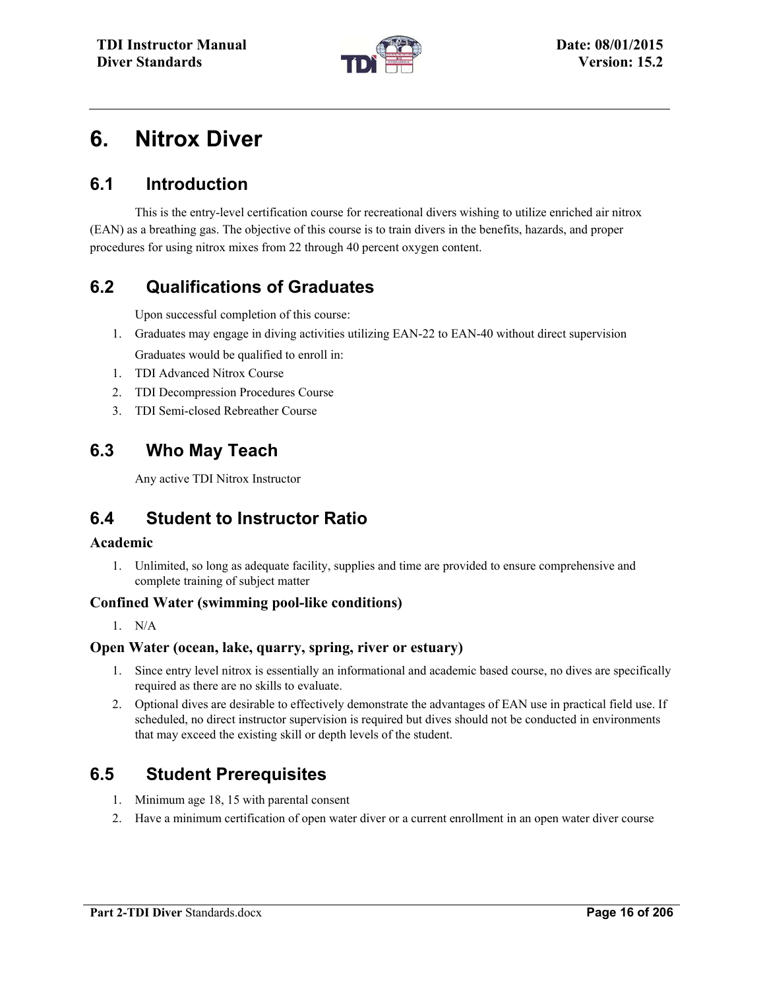

# **6. Nitrox Diver**

### **6.1 Introduction**

This is the entry-level certification course for recreational divers wishing to utilize enriched air nitrox (EAN) as a breathing gas. The objective of this course is to train divers in the benefits, hazards, and proper procedures for using nitrox mixes from 22 through 40 percent oxygen content.

## **6.2 Qualifications of Graduates**

Upon successful completion of this course:

- 1. Graduates may engage in diving activities utilizing EAN-22 to EAN-40 without direct supervision Graduates would be qualified to enroll in:
- 1. TDI Advanced Nitrox Course
- 2. TDI Decompression Procedures Course
- 3. TDI Semi-closed Rebreather Course

### **6.3 Who May Teach**

Any active TDI Nitrox Instructor

### **6.4 Student to Instructor Ratio**

#### **Academic**

1. Unlimited, so long as adequate facility, supplies and time are provided to ensure comprehensive and complete training of subject matter

#### **Confined Water (swimming pool-like conditions)**

1. N/A

#### **Open Water (ocean, lake, quarry, spring, river or estuary)**

- 1. Since entry level nitrox is essentially an informational and academic based course, no dives are specifically required as there are no skills to evaluate.
- 2. Optional dives are desirable to effectively demonstrate the advantages of EAN use in practical field use. If scheduled, no direct instructor supervision is required but dives should not be conducted in environments that may exceed the existing skill or depth levels of the student.

### **6.5 Student Prerequisites**

- 1. Minimum age 18, 15 with parental consent
- 2. Have a minimum certification of open water diver or a current enrollment in an open water diver course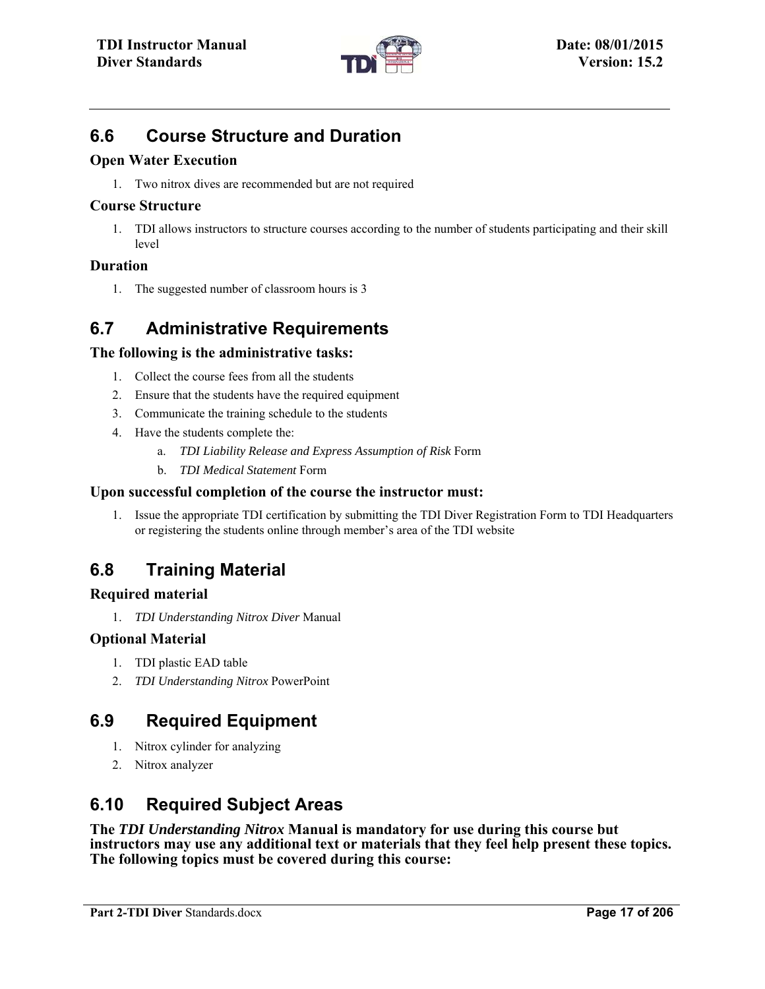

### **6.6 Course Structure and Duration**

#### **Open Water Execution**

1. Two nitrox dives are recommended but are not required

#### **Course Structure**

1. TDI allows instructors to structure courses according to the number of students participating and their skill level

### **Duration**

1. The suggested number of classroom hours is 3

## **6.7 Administrative Requirements**

### **The following is the administrative tasks:**

- 1. Collect the course fees from all the students
- 2. Ensure that the students have the required equipment
- 3. Communicate the training schedule to the students
- 4. Have the students complete the:
	- a. *TDI Liability Release and Express Assumption of Risk* Form
	- b. *TDI Medical Statement* Form

#### **Upon successful completion of the course the instructor must:**

1. Issue the appropriate TDI certification by submitting the TDI Diver Registration Form to TDI Headquarters or registering the students online through member's area of the TDI website

## **6.8 Training Material**

#### **Required material**

1. *TDI Understanding Nitrox Diver* Manual

### **Optional Material**

- 1. TDI plastic EAD table
- 2. *TDI Understanding Nitrox* PowerPoint

## **6.9 Required Equipment**

- 1. Nitrox cylinder for analyzing
- 2. Nitrox analyzer

### **6.10 Required Subject Areas**

**The** *TDI Understanding Nitrox* **Manual is mandatory for use during this course but instructors may use any additional text or materials that they feel help present these topics. The following topics must be covered during this course:**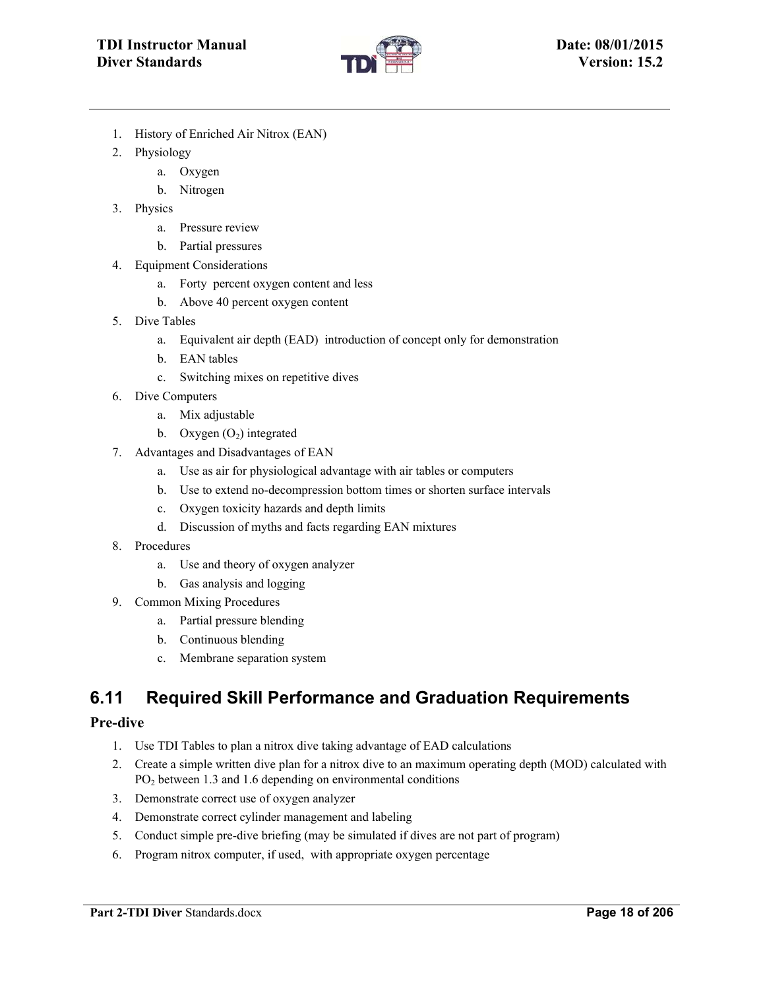

- 1. History of Enriched Air Nitrox (EAN)
- 2. Physiology
	- a. Oxygen
	- b. Nitrogen
- 3. Physics
	- a. Pressure review
	- b. Partial pressures
- 4. Equipment Considerations
	- a. Forty percent oxygen content and less
	- b. Above 40 percent oxygen content
- 5. Dive Tables
	- a. Equivalent air depth (EAD) introduction of concept only for demonstration
	- b. EAN tables
	- c. Switching mixes on repetitive dives
- 6. Dive Computers
	- a. Mix adjustable
	- b. Oxygen  $(O_2)$  integrated
- 7. Advantages and Disadvantages of EAN
	- a. Use as air for physiological advantage with air tables or computers
	- b. Use to extend no-decompression bottom times or shorten surface intervals
	- c. Oxygen toxicity hazards and depth limits
	- d. Discussion of myths and facts regarding EAN mixtures
- 8. Procedures
	- a. Use and theory of oxygen analyzer
	- b. Gas analysis and logging
- 9. Common Mixing Procedures
	- a. Partial pressure blending
	- b. Continuous blending
	- c. Membrane separation system

### **6.11 Required Skill Performance and Graduation Requirements**

#### **Pre-dive**

- 1. Use TDI Tables to plan a nitrox dive taking advantage of EAD calculations
- 2. Create a simple written dive plan for a nitrox dive to an maximum operating depth (MOD) calculated with  $PO<sub>2</sub>$  between 1.3 and 1.6 depending on environmental conditions
- 3. Demonstrate correct use of oxygen analyzer
- 4. Demonstrate correct cylinder management and labeling
- 5. Conduct simple pre-dive briefing (may be simulated if dives are not part of program)
- 6. Program nitrox computer, if used, with appropriate oxygen percentage